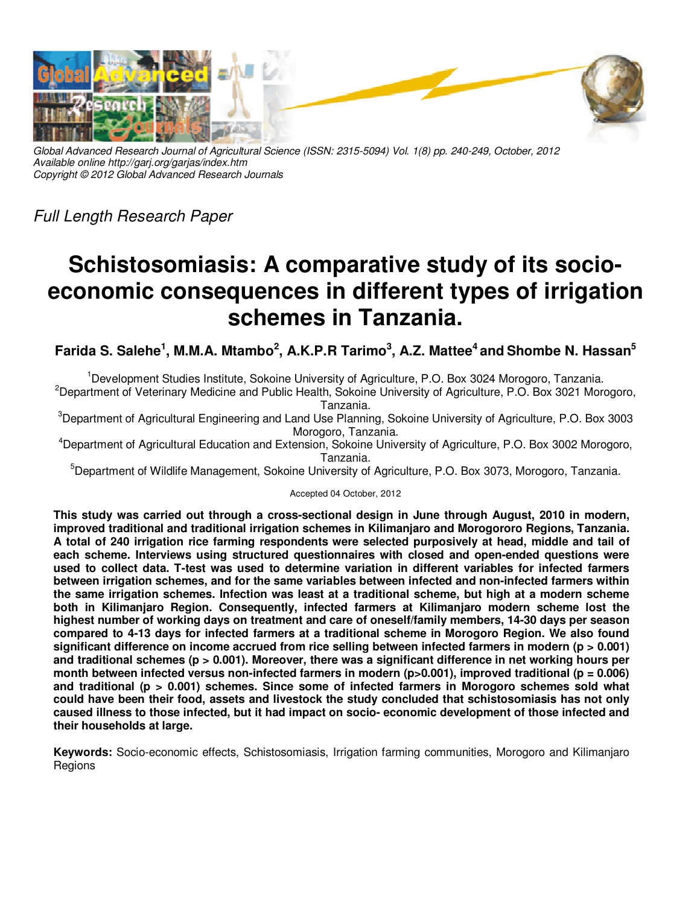

*Global Advanced Research Journal of Agricultural Science (ISSN: 2315-5094) Vol. 1(8) pp. 240-249, October, 2012 Available online http://garj.org/garjas/index.htm Copyright © 2012 Global Advanced Research Journals* 

*Full Length Research Paper* 

# **Schistosomiasis: A comparative study of its socioeconomic consequences in different types of irrigation schemes in Tanzania.**

**Farida S. Salehe<sup>1</sup> , M.M.A. Mtambo<sup>2</sup> , A.K.P.R Tarimo<sup>3</sup> , A.Z. Mattee<sup>4</sup>and Shombe N. Hassan<sup>5</sup>**

<sup>1</sup>Development Studies Institute, Sokoine University of Agriculture, P.O. Box 3024 Morogoro, Tanzania*.*

<sup>2</sup>Department of Veterinary Medicine and Public Health, Sokoine University of Agriculture, P.O. Box 3021 Morogoro, Tanzania.

<sup>3</sup>Department of Agricultural Engineering and Land Use Planning, Sokoine University of Agriculture, P.O. Box 3003 Morogoro, Tanzania.

<sup>4</sup>Department of Agricultural Education and Extension, Sokoine University of Agriculture, P.O. Box 3002 Morogoro, Tanzania.

<sup>5</sup>Department of Wildlife Management, Sokoine University of Agriculture, P.O. Box 3073, Morogoro, Tanzania.

# Accepted 04 October, 2012

**This study was carried out through a cross-sectional design in June through August, 2010 in modern, improved traditional and traditional irrigation schemes in Kilimanjaro and Morogororo Regions, Tanzania. A total of 240 irrigation rice farming respondents were selected purposively at head, middle and tail of each scheme. Interviews using structured questionnaires with closed and open-ended questions were used to collect data. T-test was used to determine variation in different variables for infected farmers between irrigation schemes, and for the same variables between infected and non-infected farmers within the same irrigation schemes. Infection was least at a traditional scheme, but high at a modern scheme both in Kilimanjaro Region. Consequently, infected farmers at Kilimanjaro modern scheme lost the highest number of working days on treatment and care of oneself/family members, 14-30 days per season compared to 4-13 days for infected farmers at a traditional scheme in Morogoro Region. We also found significant difference on income accrued from rice selling between infected farmers in modern (p > 0.001) and traditional schemes (p > 0.001). Moreover, there was a significant difference in net working hours per**  month between infected versus non-infected farmers in modern (p>0.001), improved traditional (p = 0.006) **and traditional (p > 0.001) schemes. Since some of infected farmers in Morogoro schemes sold what could have been their food, assets and livestock the study concluded that schistosomiasis has not only caused illness to those infected, but it had impact on socio- economic development of those infected and their households at large.** 

**Keywords:** Socio-economic effects, Schistosomiasis, Irrigation farming communities, Morogoro and Kilimanjaro Regions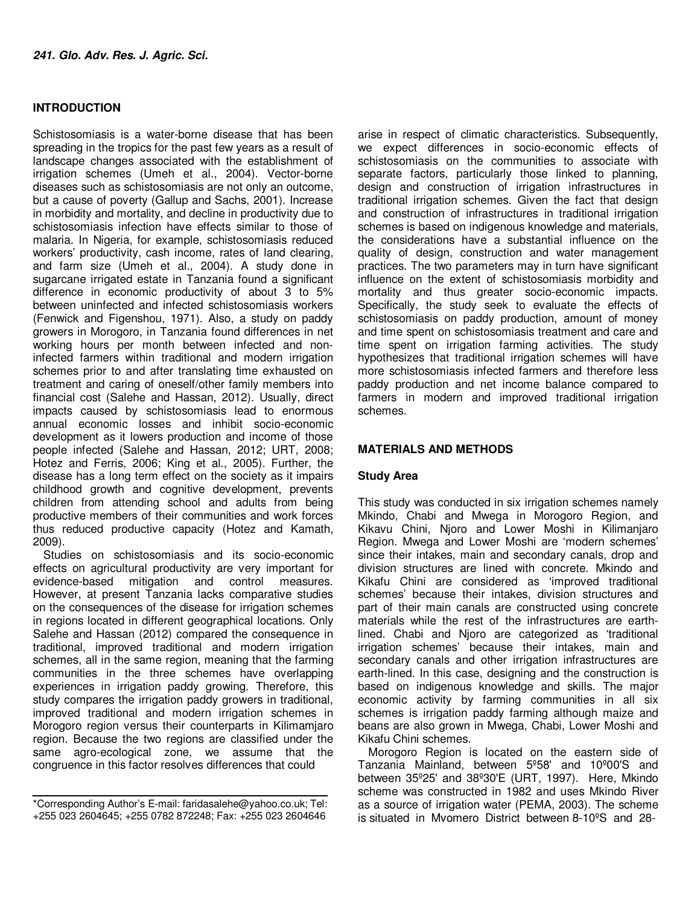# **INTRODUCTION**

Schistosomiasis is a water-borne disease that has been spreading in the tropics for the past few years as a result of landscape changes associated with the establishment of irrigation schemes (Umeh et al., 2004). Vector-borne diseases such as schistosomiasis are not only an outcome, but a cause of poverty (Gallup and Sachs, 2001). Increase in morbidity and mortality, and decline in productivity due to schistosomiasis infection have effects similar to those of malaria. In Nigeria, for example, schistosomiasis reduced workers' productivity, cash income, rates of land clearing, and farm size (Umeh et al., 2004). A study done in sugarcane irrigated estate in Tanzania found a significant difference in economic productivity of about 3 to 5% between uninfected and infected schistosomiasis workers (Fenwick and Figenshou, 1971). Also, a study on paddy growers in Morogoro, in Tanzania found differences in net working hours per month between infected and noninfected farmers within traditional and modern irrigation schemes prior to and after translating time exhausted on treatment and caring of oneself/other family members into financial cost (Salehe and Hassan, 2012). Usually, direct impacts caused by schistosomiasis lead to enormous annual economic losses and inhibit socio-economic development as it lowers production and income of those people infected (Salehe and Hassan, 2012; URT, 2008; Hotez and Ferris, 2006; King et al., 2005). Further, the disease has a long term effect on the society as it impairs childhood growth and cognitive development, prevents children from attending school and adults from being productive members of their communities and work forces thus reduced productive capacity (Hotez and Kamath, 2009).

Studies on schistosomiasis and its socio-economic effects on agricultural productivity are very important for evidence-based mitigation and control measures. However, at present Tanzania lacks comparative studies on the consequences of the disease for irrigation schemes in regions located in different geographical locations. Only Salehe and Hassan (2012) compared the consequence in traditional, improved traditional and modern irrigation schemes, all in the same region, meaning that the farming communities in the three schemes have overlapping experiences in irrigation paddy growing. Therefore, this study compares the irrigation paddy growers in traditional, improved traditional and modern irrigation schemes in Morogoro region versus their counterparts in Kilimamjaro region. Because the two regions are classified under the same agro-ecological zone, we assume that the congruence in this factor resolves differences that could

arise in respect of climatic characteristics. Subsequently, we expect differences in socio-economic effects of schistosomiasis on the communities to associate with separate factors, particularly those linked to planning, design and construction of irrigation infrastructures in traditional irrigation schemes. Given the fact that design and construction of infrastructures in traditional irrigation schemes is based on indigenous knowledge and materials, the considerations have a substantial influence on the quality of design, construction and water management practices. The two parameters may in turn have significant influence on the extent of schistosomiasis morbidity and mortality and thus greater socio-economic impacts. Specifically, the study seek to evaluate the effects of schistosomiasis on paddy production, amount of money and time spent on schistosomiasis treatment and care and time spent on irrigation farming activities. The study hypothesizes that traditional irrigation schemes will have more schistosomiasis infected farmers and therefore less paddy production and net income balance compared to farmers in modern and improved traditional irrigation schemes.

# **MATERIALS AND METHODS**

### **Study Area**

This study was conducted in six irrigation schemes namely Mkindo, Chabi and Mwega in Morogoro Region, and Kikavu Chini, Njoro and Lower Moshi in Kilimanjaro Region. Mwega and Lower Moshi are 'modern schemes' since their intakes, main and secondary canals, drop and division structures are lined with concrete. Mkindo and Kikafu Chini are considered as 'improved traditional schemes' because their intakes, division structures and part of their main canals are constructed using concrete materials while the rest of the infrastructures are earthlined. Chabi and Njoro are categorized as 'traditional irrigation schemes' because their intakes, main and secondary canals and other irrigation infrastructures are earth-lined. In this case, designing and the construction is based on indigenous knowledge and skills. The major economic activity by farming communities in all six schemes is irrigation paddy farming although maize and beans are also grown in Mwega, Chabi, Lower Moshi and Kikafu Chini schemes.

Morogoro Region is located on the eastern side of Tanzania Mainland, between 5º58' and 10º00'S and between 35º25' and 38º30'E (URT, 1997). Here, Mkindo scheme was constructed in 1982 and uses Mkindo River as a source of irrigation water (PEMA, 2003). The scheme is situated in Mvomero District between 8-10ºS and 28-

<sup>\*</sup>Corresponding Author's E-mail: faridasalehe@yahoo.co.uk; Tel: +255 023 2604645; +255 0782 872248; Fax: +255 023 2604646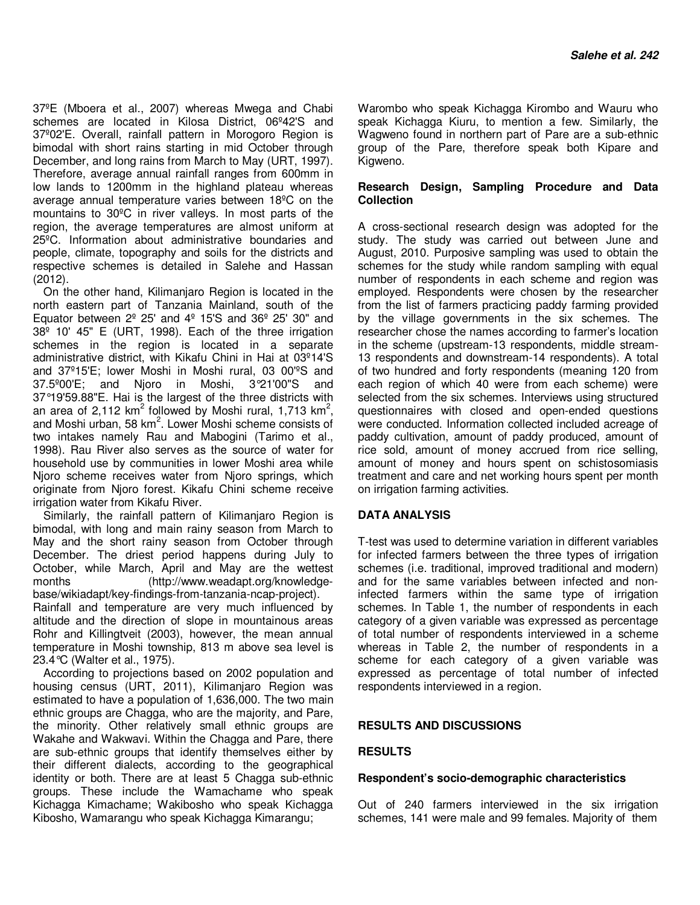37ºE (Mboera et al., 2007) whereas Mwega and Chabi schemes are located in Kilosa District, 06º42'S and 37º02'E. Overall, rainfall pattern in Morogoro Region is bimodal with short rains starting in mid October through December, and long rains from March to May (URT, 1997). Therefore, average annual rainfall ranges from 600mm in low lands to 1200mm in the highland plateau whereas average annual temperature varies between 18ºC on the mountains to 30ºC in river valleys. In most parts of the region, the average temperatures are almost uniform at 25ºC. Information about administrative boundaries and people, climate, topography and soils for the districts and respective schemes is detailed in Salehe and Hassan (2012).

On the other hand, Kilimanjaro Region is located in the north eastern part of Tanzania Mainland, south of the Equator between  $2^{\circ}$  25' and  $4^{\circ}$  15'S and 36 $^{\circ}$  25' 30" and 38º 10' 45" E (URT, 1998). Each of the three irrigation schemes in the region is located in a separate administrative district, with Kikafu Chini in Hai at 03º14'S and 37º15'E; lower Moshi in Moshi rural, 03 00'ºS and 37.5º00'E; and Njoro in Moshi, 3°21'00"S and 37°19'59.88"E. Hai is the largest of the three districts with an area of 2,112 km<sup>2</sup> followed by Moshi rural, 1,713 km<sup>2</sup>, and Moshi urban, 58 km<sup>2</sup>. Lower Moshi scheme consists of two intakes namely Rau and Mabogini (Tarimo et al., 1998). Rau River also serves as the source of water for household use by communities in lower Moshi area while Njoro scheme receives water from Njoro springs, which originate from Njoro forest. Kikafu Chini scheme receive irrigation water from Kikafu River.

Similarly, the rainfall pattern of Kilimanjaro Region is bimodal, with long and main rainy season from March to May and the short rainy season from October through December. The driest period happens during July to October, while March, April and May are the wettest months (http://www.weadapt.org/knowledgebase/wikiadapt/key-findings-from-tanzania-ncap-project).

Rainfall and temperature are very much influenced by altitude and the direction of slope in mountainous areas Rohr and Killingtveit (2003), however, the mean annual temperature in Moshi township, 813 m above sea level is 23.4°C (Walter et al., 1975).

According to projections based on 2002 population and housing census (URT, 2011), Kilimanjaro Region was estimated to have a population of 1,636,000. The two main ethnic groups are Chagga, who are the majority, and Pare, the minority. Other relatively small ethnic groups are Wakahe and Wakwavi. Within the Chagga and Pare, there are sub-ethnic groups that identify themselves either by their different dialects, according to the geographical identity or both. There are at least 5 Chagga sub-ethnic groups. These include the Wamachame who speak Kichagga Kimachame; Wakibosho who speak Kichagga Kibosho, Wamarangu who speak Kichagga Kimarangu;

Warombo who speak Kichagga Kirombo and Wauru who speak Kichagga Kiuru, to mention a few. Similarly, the Wagweno found in northern part of Pare are a sub-ethnic group of the Pare, therefore speak both Kipare and Kigweno.

### **Research Design, Sampling Procedure and Data Collection**

A cross-sectional research design was adopted for the study. The study was carried out between June and August, 2010. Purposive sampling was used to obtain the schemes for the study while random sampling with equal number of respondents in each scheme and region was employed. Respondents were chosen by the researcher from the list of farmers practicing paddy farming provided by the village governments in the six schemes. The researcher chose the names according to farmer's location in the scheme (upstream-13 respondents, middle stream-13 respondents and downstream-14 respondents). A total of two hundred and forty respondents (meaning 120 from each region of which 40 were from each scheme) were selected from the six schemes. Interviews using structured questionnaires with closed and open-ended questions were conducted. Information collected included acreage of paddy cultivation, amount of paddy produced, amount of rice sold, amount of money accrued from rice selling, amount of money and hours spent on schistosomiasis treatment and care and net working hours spent per month on irrigation farming activities.

# **DATA ANALYSIS**

T-test was used to determine variation in different variables for infected farmers between the three types of irrigation schemes (i.e. traditional, improved traditional and modern) and for the same variables between infected and noninfected farmers within the same type of irrigation schemes. In Table 1, the number of respondents in each category of a given variable was expressed as percentage of total number of respondents interviewed in a scheme whereas in Table 2, the number of respondents in a scheme for each category of a given variable was expressed as percentage of total number of infected respondents interviewed in a region.

### **RESULTS AND DISCUSSIONS**

### **RESULTS**

#### **Respondent's socio-demographic characteristics**

Out of 240 farmers interviewed in the six irrigation schemes, 141 were male and 99 females. Majority of them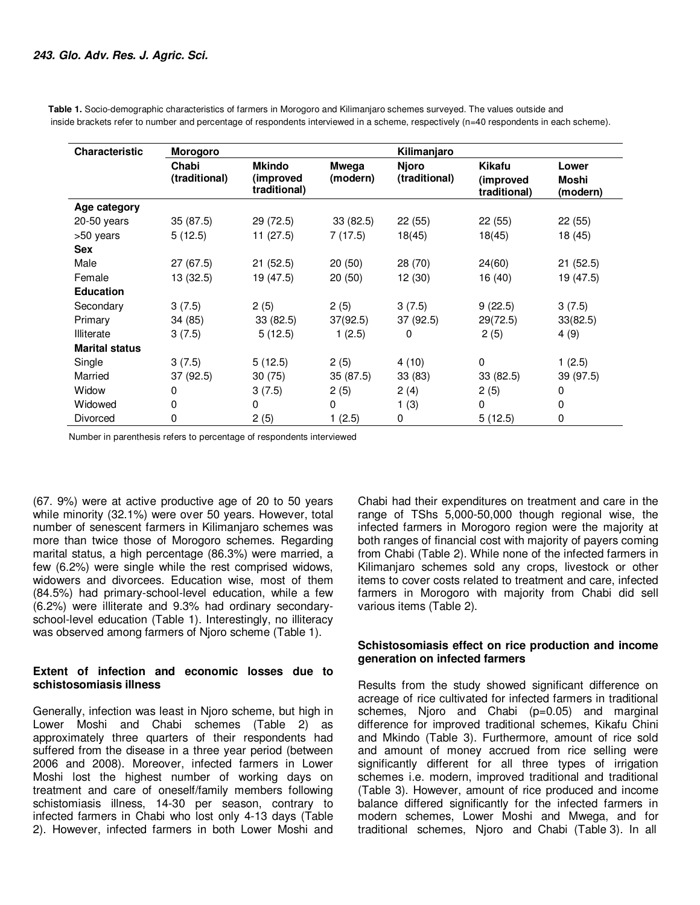**Table 1.** Socio-demographic characteristics of farmers in Morogoro and Kilimanjaro schemes surveyed. The values outside and inside brackets refer to number and percentage of respondents interviewed in a scheme, respectively (n=40 respondents in each scheme).

| <b>Characteristic</b> | <b>Morogoro</b>        |                                            |                          | Kilimanjaro                   |                                            |                                   |  |  |
|-----------------------|------------------------|--------------------------------------------|--------------------------|-------------------------------|--------------------------------------------|-----------------------------------|--|--|
|                       | Chabi<br>(traditional) | <b>Mkindo</b><br>(improved<br>traditional) | <b>Mwega</b><br>(modern) | <b>Njoro</b><br>(traditional) | <b>Kikafu</b><br>(improved<br>traditional) | Lower<br><b>Moshi</b><br>(modern) |  |  |
| Age category          |                        |                                            |                          |                               |                                            |                                   |  |  |
| 20-50 years           | 35(87.5)               | 29 (72.5)                                  | 33(82.5)                 | 22(55)                        | 22(55)                                     | 22(55)                            |  |  |
| >50 years             | 5(12.5)                | 11(27.5)                                   | 7(17.5)                  | 18(45)                        | 18(45)                                     | 18 (45)                           |  |  |
| <b>Sex</b>            |                        |                                            |                          |                               |                                            |                                   |  |  |
| Male                  | 27 (67.5)              | 21(52.5)                                   | 20(50)                   | 28 (70)                       | 24(60)                                     | 21(52.5)                          |  |  |
| Female                | 13(32.5)               | 19 (47.5)                                  | 20(50)                   | 12 (30)                       | 16 (40)                                    | 19 (47.5)                         |  |  |
| <b>Education</b>      |                        |                                            |                          |                               |                                            |                                   |  |  |
| Secondary             | 3(7.5)                 | 2(5)                                       | 2(5)                     | 3(7.5)                        | 9(22.5)                                    | 3(7.5)                            |  |  |
| Primary               | 34 (85)                | 33(82.5)                                   | 37(92.5)                 | 37 (92.5)                     | 29(72.5)                                   | 33(82.5)                          |  |  |
| Illiterate            | 3(7.5)                 | 5(12.5)                                    | 1(2.5)                   | 0                             | 2(5)                                       | 4(9)                              |  |  |
| <b>Marital status</b> |                        |                                            |                          |                               |                                            |                                   |  |  |
| Single                | 3(7.5)                 | 5(12.5)                                    | 2(5)                     | 4(10)                         | 0                                          | 1(2.5)                            |  |  |
| Married               | 37(92.5)               | 30(75)                                     | 35 (87.5)                | 33(83)                        | 33 (82.5)                                  | 39 (97.5)                         |  |  |
| Widow                 | 0                      | 3(7.5)                                     | 2(5)                     | 2(4)                          | 2(5)                                       | 0                                 |  |  |
| Widowed               | 0                      | $\Omega$                                   | 0                        | 1(3)                          | 0                                          | 0                                 |  |  |
| Divorced              | 0                      | 2(5)                                       | 1 (2.5)                  | 0                             | 5(12.5)                                    | $\mathbf 0$                       |  |  |

Number in parenthesis refers to percentage of respondents interviewed

(67. 9%) were at active productive age of 20 to 50 years while minority (32.1%) were over 50 years. However, total number of senescent farmers in Kilimanjaro schemes was more than twice those of Morogoro schemes. Regarding marital status, a high percentage (86.3%) were married, a few (6.2%) were single while the rest comprised widows, widowers and divorcees. Education wise, most of them (84.5%) had primary-school-level education, while a few (6.2%) were illiterate and 9.3% had ordinary secondaryschool-level education (Table 1). Interestingly, no illiteracy was observed among farmers of Njoro scheme (Table 1).

### **Extent of infection and economic losses due to schistosomiasis illness**

Generally, infection was least in Njoro scheme, but high in Lower Moshi and Chabi schemes (Table 2) as approximately three quarters of their respondents had suffered from the disease in a three year period (between 2006 and 2008). Moreover, infected farmers in Lower Moshi lost the highest number of working days on treatment and care of oneself/family members following schistomiasis illness, 14-30 per season, contrary to infected farmers in Chabi who lost only 4-13 days (Table 2). However, infected farmers in both Lower Moshi and

Chabi had their expenditures on treatment and care in the range of TShs 5,000-50,000 though regional wise, the infected farmers in Morogoro region were the majority at both ranges of financial cost with majority of payers coming from Chabi (Table 2). While none of the infected farmers in Kilimanjaro schemes sold any crops, livestock or other items to cover costs related to treatment and care, infected farmers in Morogoro with majority from Chabi did sell various items (Table 2).

### **Schistosomiasis effect on rice production and income generation on infected farmers**

Results from the study showed significant difference on acreage of rice cultivated for infected farmers in traditional schemes, Njoro and Chabi (p=0.05) and marginal difference for improved traditional schemes, Kikafu Chini and Mkindo (Table 3). Furthermore, amount of rice sold and amount of money accrued from rice selling were significantly different for all three types of irrigation schemes i.e. modern, improved traditional and traditional (Table 3). However, amount of rice produced and income balance differed significantly for the infected farmers in modern schemes, Lower Moshi and Mwega, and for traditional schemes, Njoro and Chabi (Table 3). In all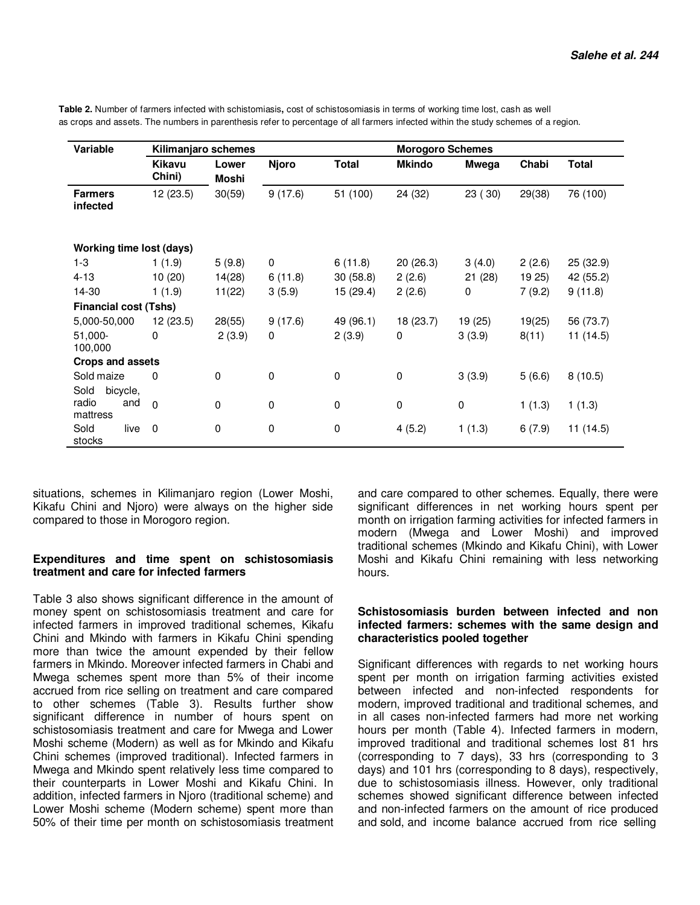| Variable                        |                         | Kilimanjaro schemes |              |              | <b>Morogoro Schemes</b> |             |        |              |  |
|---------------------------------|-------------------------|---------------------|--------------|--------------|-------------------------|-------------|--------|--------------|--|
|                                 | <b>Kikavu</b><br>Chini) | Lower<br>Moshi      | <b>Njoro</b> | <b>Total</b> | <b>Mkindo</b>           | Mwega       | Chabi  | <b>Total</b> |  |
| <b>Farmers</b><br>infected      | 12(23.5)                | 30(59)              | 9(17.6)      | 51 (100)     | 24 (32)                 | 23 (30)     | 29(38) | 76 (100)     |  |
| <b>Working time lost (days)</b> |                         |                     |              |              |                         |             |        |              |  |
| $1 - 3$                         | 1(1.9)                  | 5(9.8)              | 0            | 6(11.8)      | 20(26.3)                | 3(4.0)      | 2(2.6) | 25 (32.9)    |  |
| $4 - 13$                        | 10(20)                  | 14(28)              | 6(11.8)      | 30(58.8)     | 2(2.6)                  | 21(28)      | 19 25) | 42 (55.2)    |  |
| 14-30                           | 1(1.9)                  | 11(22)              | 3(5.9)       | 15(29.4)     | 2(2.6)                  | 0           | 7(9.2) | 9(11.8)      |  |
| <b>Financial cost (Tshs)</b>    |                         |                     |              |              |                         |             |        |              |  |
| 5,000-50,000                    | 12(23.5)                | 28(55)              | 9(17.6)      | 49 (96.1)    | 18 (23.7)               | 19 (25)     | 19(25) | 56 (73.7)    |  |
| 51,000-<br>100,000              | 0                       | 2(3.9)              | 0            | 2(3.9)       | 0                       | 3(3.9)      | 8(11)  | 11(14.5)     |  |
| <b>Crops and assets</b>         |                         |                     |              |              |                         |             |        |              |  |
| Sold maize                      | 0                       | 0                   | 0            | $\mathbf 0$  | 0                       | 3(3.9)      | 5(6.6) | 8(10.5)      |  |
| Sold<br>bicycle,                |                         |                     |              |              |                         |             |        |              |  |
| radio<br>and<br>mattress        | $\Omega$                | $\mathbf 0$         | 0            | $\mathbf 0$  | $\mathbf 0$             | $\mathbf 0$ | 1(1.3) | 1(1.3)       |  |
| Sold<br>live<br>stocks          | 0                       | 0                   | 0            | $\pmb{0}$    | 4(5.2)                  | 1(1.3)      | 6(7.9) | 11(14.5)     |  |

**Table 2.** Number of farmers infected with schistomiasis**,** cost of schistosomiasis in terms of working time lost, cash as well as crops and assets. The numbers in parenthesis refer to percentage of all farmers infected within the study schemes of a region.

situations, schemes in Kilimanjaro region (Lower Moshi, Kikafu Chini and Njoro) were always on the higher side compared to those in Morogoro region.

### **Expenditures and time spent on schistosomiasis treatment and care for infected farmers**

Table 3 also shows significant difference in the amount of money spent on schistosomiasis treatment and care for infected farmers in improved traditional schemes, Kikafu Chini and Mkindo with farmers in Kikafu Chini spending more than twice the amount expended by their fellow farmers in Mkindo. Moreover infected farmers in Chabi and Mwega schemes spent more than 5% of their income accrued from rice selling on treatment and care compared to other schemes (Table 3). Results further show significant difference in number of hours spent on schistosomiasis treatment and care for Mwega and Lower Moshi scheme (Modern) as well as for Mkindo and Kikafu Chini schemes (improved traditional). Infected farmers in Mwega and Mkindo spent relatively less time compared to their counterparts in Lower Moshi and Kikafu Chini. In addition, infected farmers in Njoro (traditional scheme) and Lower Moshi scheme (Modern scheme) spent more than 50% of their time per month on schistosomiasis treatment

and care compared to other schemes. Equally, there were significant differences in net working hours spent per month on irrigation farming activities for infected farmers in modern (Mwega and Lower Moshi) and improved traditional schemes (Mkindo and Kikafu Chini), with Lower Moshi and Kikafu Chini remaining with less networking hours.

### **Schistosomiasis burden between infected and non infected farmers: schemes with the same design and characteristics pooled together**

Significant differences with regards to net working hours spent per month on irrigation farming activities existed between infected and non-infected respondents for modern, improved traditional and traditional schemes, and in all cases non-infected farmers had more net working hours per month (Table 4). Infected farmers in modern, improved traditional and traditional schemes lost 81 hrs (corresponding to 7 days), 33 hrs (corresponding to 3 days) and 101 hrs (corresponding to 8 days), respectively, due to schistosomiasis illness. However, only traditional schemes showed significant difference between infected and non-infected farmers on the amount of rice produced and sold, and income balance accrued from rice selling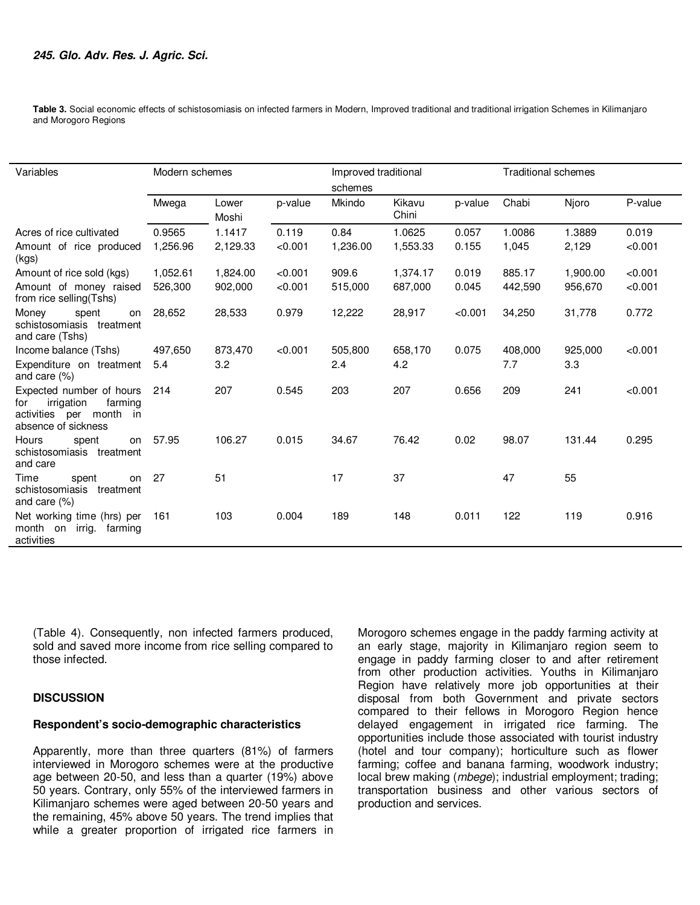**Table 3.** Social economic effects of schistosomiasis on infected farmers in Modern, Improved traditional and traditional irrigation Schemes in Kilimanjaro and Morogoro Regions

| Variables                                                                                                  | Modern schemes |                |         | Improved traditional |                 |         | <b>Traditional schemes</b> |          |         |
|------------------------------------------------------------------------------------------------------------|----------------|----------------|---------|----------------------|-----------------|---------|----------------------------|----------|---------|
|                                                                                                            |                |                |         | schemes              |                 |         |                            |          |         |
|                                                                                                            | Mwega          | Lower<br>Moshi | p-value | Mkindo               | Kikavu<br>Chini | p-value | Chabi                      | Njoro    | P-value |
| Acres of rice cultivated                                                                                   | 0.9565         | 1.1417         | 0.119   | 0.84                 | 1.0625          | 0.057   | 1.0086                     | 1.3889   | 0.019   |
| Amount of rice produced<br>(kgs)                                                                           | 1,256.96       | 2,129.33       | < 0.001 | 1,236.00             | 1,553.33        | 0.155   | 1,045                      | 2,129    | < 0.001 |
| Amount of rice sold (kgs)                                                                                  | 1,052.61       | 1,824.00       | < 0.001 | 909.6                | 1,374.17        | 0.019   | 885.17                     | 1,900.00 | < 0.001 |
| Amount of money raised<br>from rice selling (Tshs)                                                         | 526.300        | 902,000        | < 0.001 | 515,000              | 687,000         | 0.045   | 442.590                    | 956,670  | < 0.001 |
| spent<br>Money<br>on<br>schistosomiasis treatment<br>and care (Tshs)                                       | 28,652         | 28,533         | 0.979   | 12,222               | 28,917          | < 0.001 | 34,250                     | 31,778   | 0.772   |
| Income balance (Tshs)                                                                                      | 497,650        | 873,470        | < 0.001 | 505,800              | 658,170         | 0.075   | 408,000                    | 925,000  | < 0.001 |
| Expenditure on treatment<br>and care $(\%)$                                                                | 5.4            | 3.2            |         | 2.4                  | 4.2             |         | 7.7                        | 3.3      |         |
| Expected number of hours<br>irrigation<br>farming<br>for<br>activities per month in<br>absence of sickness | 214            | 207            | 0.545   | 203                  | 207             | 0.656   | 209                        | 241      | < 0.001 |
| Hours<br>spent<br>on<br>schistosomiasis treatment<br>and care                                              | 57.95          | 106.27         | 0.015   | 34.67                | 76.42           | 0.02    | 98.07                      | 131.44   | 0.295   |
| Time<br>spent<br>on<br>schistosomiasis treatment<br>and care $(\%)$                                        | 27             | 51             |         | 17                   | 37              |         | 47                         | 55       |         |
| Net working time (hrs) per<br>month on irrig. farming<br>activities                                        | 161            | 103            | 0.004   | 189                  | 148             | 0.011   | 122                        | 119      | 0.916   |

(Table 4). Consequently, non infected farmers produced, sold and saved more income from rice selling compared to those infected.

### **DISCUSSION**

# **Respondent's socio-demographic characteristics**

Apparently, more than three quarters (81%) of farmers interviewed in Morogoro schemes were at the productive age between 20-50, and less than a quarter (19%) above 50 years. Contrary, only 55% of the interviewed farmers in Kilimanjaro schemes were aged between 20-50 years and the remaining, 45% above 50 years. The trend implies that while a greater proportion of irrigated rice farmers in Morogoro schemes engage in the paddy farming activity at an early stage, majority in Kilimanjaro region seem to engage in paddy farming closer to and after retirement from other production activities. Youths in Kilimanjaro Region have relatively more job opportunities at their disposal from both Government and private sectors compared to their fellows in Morogoro Region hence delayed engagement in irrigated rice farming. The opportunities include those associated with tourist industry (hotel and tour company); horticulture such as flower farming; coffee and banana farming, woodwork industry; local brew making (*mbege*); industrial employment; trading; transportation business and other various sectors of production and services.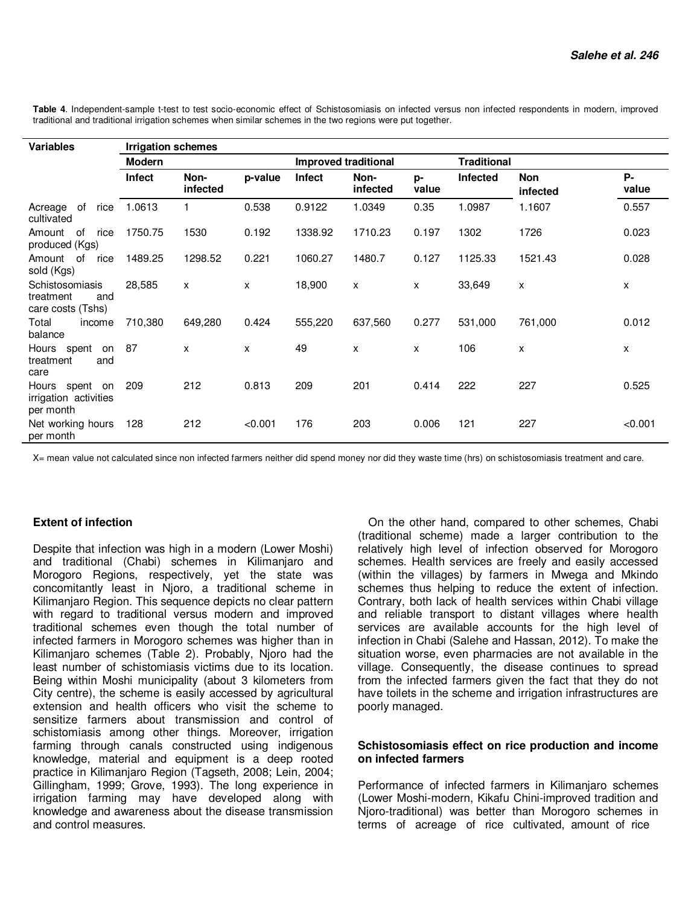| <b>Variables</b>                                         | <b>Irrigation schemes</b> |                  |         |                             |                  |             |                    |                        |             |  |
|----------------------------------------------------------|---------------------------|------------------|---------|-----------------------------|------------------|-------------|--------------------|------------------------|-------------|--|
|                                                          | <b>Modern</b>             |                  |         | <b>Improved traditional</b> |                  |             | <b>Traditional</b> |                        |             |  |
|                                                          | Infect                    | Non-<br>infected | p-value | Infect                      | Non-<br>infected | p-<br>value | Infected           | <b>Non</b><br>infected | Р-<br>value |  |
| rice<br>Acreage<br>of<br>cultivated                      | 1.0613                    |                  | 0.538   | 0.9122                      | 1.0349           | 0.35        | 1.0987             | 1.1607                 | 0.557       |  |
| 0f<br>Amount<br>rice<br>produced (Kgs)                   | 1750.75                   | 1530             | 0.192   | 1338.92                     | 1710.23          | 0.197       | 1302               | 1726                   | 0.023       |  |
| Amount of<br>rice<br>sold (Kgs)                          | 1489.25                   | 1298.52          | 0.221   | 1060.27                     | 1480.7           | 0.127       | 1125.33            | 1521.43                | 0.028       |  |
| Schistosomiasis<br>treatment<br>and<br>care costs (Tshs) | 28,585                    | X                | X       | 18,900                      | X                | X           | 33,649             | X                      | X           |  |
| Total<br>income<br>balance                               | 710,380                   | 649,280          | 0.424   | 555,220                     | 637,560          | 0.277       | 531,000            | 761,000                | 0.012       |  |
| Hours spent on<br>treatment<br>and<br>care               | -87                       | X                | X       | 49                          | X                | X           | 106                | X                      | X           |  |
| Hours spent on<br>irrigation activities<br>per month     | 209                       | 212              | 0.813   | 209                         | 201              | 0.414       | 222                | 227                    | 0.525       |  |
| Net working hours<br>per month                           | 128                       | 212              | < 0.001 | 176                         | 203              | 0.006       | 121                | 227                    | < 0.001     |  |

Table 4. Independent-sample t-test to test socio-economic effect of Schistosomiasis on infected versus non infected respondents in modern, improved traditional and traditional irrigation schemes when similar schemes in the two regions were put together.

X= mean value not calculated since non infected farmers neither did spend money nor did they waste time (hrs) on schistosomiasis treatment and care.

# **Extent of infection**

Despite that infection was high in a modern (Lower Moshi) and traditional (Chabi) schemes in Kilimanjaro and Morogoro Regions, respectively, yet the state was concomitantly least in Njoro, a traditional scheme in Kilimanjaro Region. This sequence depicts no clear pattern with regard to traditional versus modern and improved traditional schemes even though the total number of infected farmers in Morogoro schemes was higher than in Kilimanjaro schemes (Table 2). Probably, Njoro had the least number of schistomiasis victims due to its location. Being within Moshi municipality (about 3 kilometers from City centre), the scheme is easily accessed by agricultural extension and health officers who visit the scheme to sensitize farmers about transmission and control of schistomiasis among other things. Moreover, irrigation farming through canals constructed using indigenous knowledge, material and equipment is a deep rooted practice in Kilimanjaro Region (Tagseth, 2008; Lein, 2004; Gillingham, 1999; Grove, 1993). The long experience in irrigation farming may have developed along with knowledge and awareness about the disease transmission and control measures.

On the other hand, compared to other schemes, Chabi (traditional scheme) made a larger contribution to the relatively high level of infection observed for Morogoro schemes. Health services are freely and easily accessed (within the villages) by farmers in Mwega and Mkindo schemes thus helping to reduce the extent of infection. Contrary, both lack of health services within Chabi village and reliable transport to distant villages where health services are available accounts for the high level of infection in Chabi (Salehe and Hassan, 2012). To make the situation worse, even pharmacies are not available in the village. Consequently, the disease continues to spread from the infected farmers given the fact that they do not have toilets in the scheme and irrigation infrastructures are poorly managed.

### **Schistosomiasis effect on rice production and income on infected farmers**

Performance of infected farmers in Kilimanjaro schemes (Lower Moshi-modern, Kikafu Chini-improved tradition and Njoro-traditional) was better than Morogoro schemes in terms of acreage of rice cultivated, amount of rice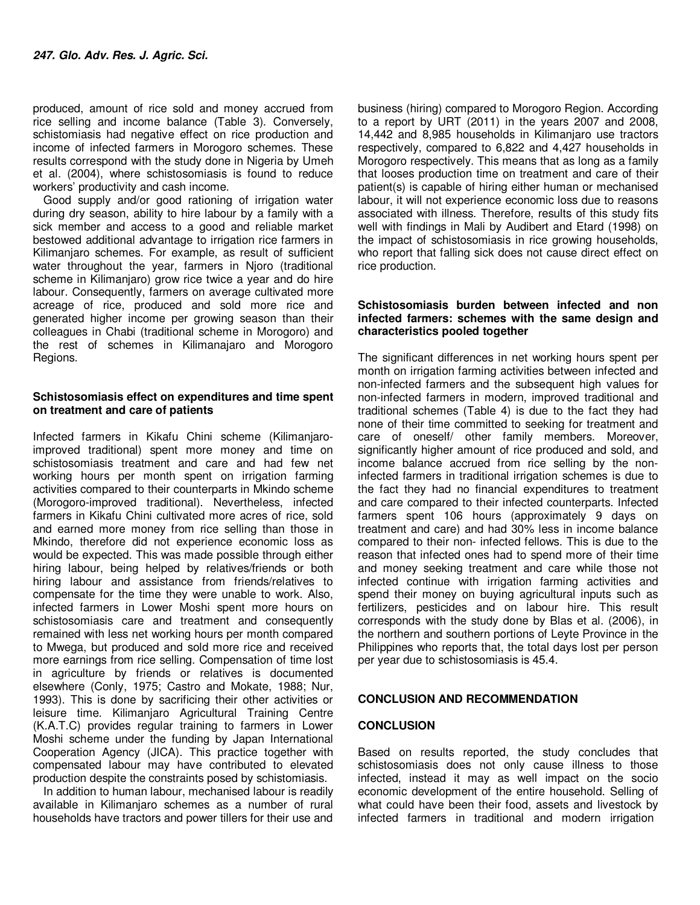produced, amount of rice sold and money accrued from rice selling and income balance (Table 3). Conversely, schistomiasis had negative effect on rice production and income of infected farmers in Morogoro schemes. These results correspond with the study done in Nigeria by Umeh et al*.* (2004), where schistosomiasis is found to reduce workers' productivity and cash income.

Good supply and/or good rationing of irrigation water during dry season, ability to hire labour by a family with a sick member and access to a good and reliable market bestowed additional advantage to irrigation rice farmers in Kilimanjaro schemes. For example, as result of sufficient water throughout the year, farmers in Njoro (traditional scheme in Kilimanjaro) grow rice twice a year and do hire labour. Consequently, farmers on average cultivated more acreage of rice, produced and sold more rice and generated higher income per growing season than their colleagues in Chabi (traditional scheme in Morogoro) and the rest of schemes in Kilimanajaro and Morogoro Regions.

### **Schistosomiasis effect on expenditures and time spent on treatment and care of patients**

Infected farmers in Kikafu Chini scheme (Kilimanjaroimproved traditional) spent more money and time on schistosomiasis treatment and care and had few net working hours per month spent on irrigation farming activities compared to their counterparts in Mkindo scheme (Morogoro-improved traditional). Nevertheless, infected farmers in Kikafu Chini cultivated more acres of rice, sold and earned more money from rice selling than those in Mkindo, therefore did not experience economic loss as would be expected. This was made possible through either hiring labour, being helped by relatives/friends or both hiring labour and assistance from friends/relatives to compensate for the time they were unable to work. Also, infected farmers in Lower Moshi spent more hours on schistosomiasis care and treatment and consequently remained with less net working hours per month compared to Mwega, but produced and sold more rice and received more earnings from rice selling. Compensation of time lost in agriculture by friends or relatives is documented elsewhere (Conly, 1975; Castro and Mokate, 1988; Nur, 1993). This is done by sacrificing their other activities or leisure time. Kilimanjaro Agricultural Training Centre (K.A.T.C) provides regular training to farmers in Lower Moshi scheme under the funding by Japan International Cooperation Agency (JICA). This practice together with compensated labour may have contributed to elevated production despite the constraints posed by schistomiasis.

In addition to human labour, mechanised labour is readily available in Kilimanjaro schemes as a number of rural households have tractors and power tillers for their use and

business (hiring) compared to Morogoro Region. According to a report by URT (2011) in the years 2007 and 2008, 14,442 and 8,985 households in Kilimanjaro use tractors respectively, compared to 6,822 and 4,427 households in Morogoro respectively. This means that as long as a family that looses production time on treatment and care of their patient(s) is capable of hiring either human or mechanised labour, it will not experience economic loss due to reasons associated with illness. Therefore, results of this study fits well with findings in Mali by Audibert and Etard (1998) on the impact of schistosomiasis in rice growing households, who report that falling sick does not cause direct effect on rice production.

#### **Schistosomiasis burden between infected and non infected farmers: schemes with the same design and characteristics pooled together**

The significant differences in net working hours spent per month on irrigation farming activities between infected and non-infected farmers and the subsequent high values for non-infected farmers in modern, improved traditional and traditional schemes (Table 4) is due to the fact they had none of their time committed to seeking for treatment and care of oneself/ other family members. Moreover, significantly higher amount of rice produced and sold, and income balance accrued from rice selling by the noninfected farmers in traditional irrigation schemes is due to the fact they had no financial expenditures to treatment and care compared to their infected counterparts. Infected farmers spent 106 hours (approximately 9 days on treatment and care) and had 30% less in income balance compared to their non- infected fellows. This is due to the reason that infected ones had to spend more of their time and money seeking treatment and care while those not infected continue with irrigation farming activities and spend their money on buying agricultural inputs such as fertilizers, pesticides and on labour hire. This result corresponds with the study done by Blas et al. (2006), in the northern and southern portions of Leyte Province in the Philippines who reports that, the total days lost per person per year due to schistosomiasis is 45.4.

### **CONCLUSION AND RECOMMENDATION**

#### **CONCLUSION**

Based on results reported, the study concludes that schistosomiasis does not only cause illness to those infected, instead it may as well impact on the socio economic development of the entire household. Selling of what could have been their food, assets and livestock by infected farmers in traditional and modern irrigation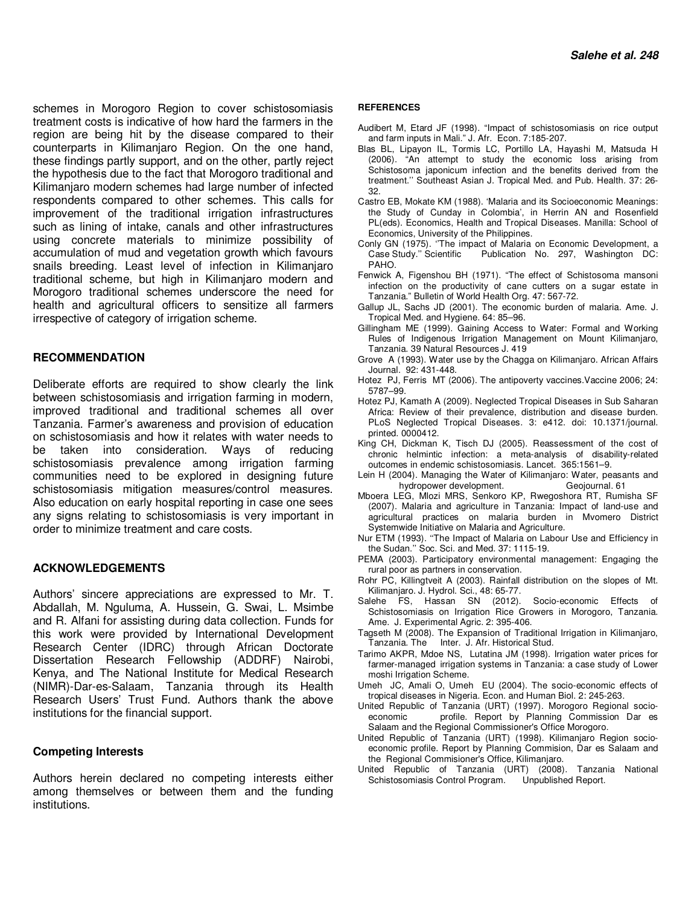schemes in Morogoro Region to cover schistosomiasis treatment costs is indicative of how hard the farmers in the region are being hit by the disease compared to their counterparts in Kilimanjaro Region. On the one hand, these findings partly support, and on the other, partly reject the hypothesis due to the fact that Morogoro traditional and Kilimanjaro modern schemes had large number of infected respondents compared to other schemes. This calls for improvement of the traditional irrigation infrastructures such as lining of intake, canals and other infrastructures using concrete materials to minimize possibility of accumulation of mud and vegetation growth which favours snails breeding. Least level of infection in Kilimanjaro traditional scheme, but high in Kilimanjaro modern and Morogoro traditional schemes underscore the need for health and agricultural officers to sensitize all farmers irrespective of category of irrigation scheme.

# **RECOMMENDATION**

Deliberate efforts are required to show clearly the link between schistosomiasis and irrigation farming in modern, improved traditional and traditional schemes all over Tanzania. Farmer's awareness and provision of education on schistosomiasis and how it relates with water needs to be taken into consideration. Ways of reducing schistosomiasis prevalence among irrigation farming communities need to be explored in designing future schistosomiasis mitigation measures/control measures. Also education on early hospital reporting in case one sees any signs relating to schistosomiasis is very important in order to minimize treatment and care costs.

#### **ACKNOWLEDGEMENTS**

Authors' sincere appreciations are expressed to Mr. T. Abdallah, M. Nguluma, A. Hussein, G. Swai, L. Msimbe and R. Alfani for assisting during data collection. Funds for this work were provided by International Development Research Center (IDRC) through African Doctorate Dissertation Research Fellowship (ADDRF) Nairobi, Kenya, and The National Institute for Medical Research (NIMR)-Dar-es-Salaam, Tanzania through its Health Research Users' Trust Fund. Authors thank the above institutions for the financial support.

#### **Competing Interests**

Authors herein declared no competing interests either among themselves or between them and the funding institutions.

#### **REFERENCES**

- Audibert M, Etard JF (1998). "Impact of schistosomiasis on rice output and farm inputs in Mali." J. Afr. Econ*.* 7:185-207.
- Blas BL, Lipayon IL, Tormis LC, Portillo LA, Hayashi M, Matsuda H (2006). "An attempt to study the economic loss arising from Schistosoma japonicum infection and the benefits derived from the treatment.'' Southeast Asian J. Tropical Med. and Pub. Health*.* 37: 26- 32.
- Castro EB, Mokate KM (1988). 'Malaria and its Socioeconomic Meanings: the Study of Cunday in Colombia', in Herrin AN and Rosenfield PL(eds). Economics, Health and Tropical Diseases. Manilla: School of Economics, University of the Philippines.
- Conly GN (1975). ''The impact of Malaria on Economic Development, a Publication No. 297, Washington DC: PAHO.
- Fenwick A, Figenshou BH (1971). "The effect of Schistosoma mansoni infection on the productivity of cane cutters on a sugar estate in Tanzania." Bulletin of World Health Org. 47: 567-72.
- Gallup JL, Sachs JD (2001). The economic burden of malaria. Ame. J. Tropical Med. and Hygiene. 64: 85–96.
- Gillingham ME (1999). Gaining Access to Water: Formal and Working Rules of Indigenous Irrigation Management on Mount Kilimanjaro, Tanzania. 39 Natural Resources J. 419
- Grove A (1993). Water use by the Chagga on Kilimanjaro. African Affairs Journal. 92: 431-448.
- Hotez PJ, Ferris MT (2006). The antipoverty vaccines.Vaccine 2006; 24: 5787–99.
- Hotez PJ, Kamath A (2009). Neglected Tropical Diseases in Sub Saharan Africa: Review of their prevalence, distribution and disease burden. PLoS Neglected Tropical Diseases. 3: e412. doi: 10.1371/journal. printed. 0000412.
- King CH, Dickman K, Tisch DJ (2005). Reassessment of the cost of chronic helmintic infection: a meta-analysis of disability-related outcomes in endemic schistosomiasis. Lancet. 365:1561–9.
- Lein H (2004). Managing the Water of Kilimanjaro: Water, peasants and hydropower development. Geojournal. 61
- Mboera LEG, Mlozi MRS, Senkoro KP, Rwegoshora RT, Rumisha SF (2007). Malaria and agriculture in Tanzania: Impact of land-use and agricultural practices on malaria burden in Mvomero District Systemwide Initiative on Malaria and Agriculture.
- Nur ETM (1993). ''The Impact of Malaria on Labour Use and Efficiency in the Sudan.'' Soc. Sci. and Med. 37: 1115-19.
- PEMA (2003). Participatory environmental management: Engaging the rural poor as partners in conservation.
- Rohr PC, Killingtveit A (2003). Rainfall distribution on the slopes of Mt. Kilimanjaro. J. Hydrol. Sci., 48: 65-77.
- Salehe FS, Hassan SN (2012). Socio-economic Effects of Schistosomiasis on Irrigation Rice Growers in Morogoro, Tanzania. Ame. J. Experimental Agric. 2: 395-406.
- Tagseth M (2008). The Expansion of Traditional Irrigation in Kilimanjaro, Tanzania. The Inter. J. Afr. Historical Stud*.*
- Tarimo AKPR, Mdoe NS, Lutatina JM (1998). Irrigation water prices for farmer-managed irrigation systems in Tanzania: a case study of Lower moshi Irrigation Scheme.
- Umeh JC, Amali O, Umeh EU (2004). The socio-economic effects of tropical diseases in Nigeria. Econ. and Human Biol. 2: 245-263.
- United Republic of Tanzania (URT) (1997). Morogoro Regional socioeconomic profile. Report by Planning Commission Dar es Salaam and the Regional Commissioner's Office Morogoro.
- United Republic of Tanzania (URT) (1998). Kilimanjaro Region socioeconomic profile. Report by Planning Commision, Dar es Salaam and the Regional Commisioner's Office, Kilimanjaro.
- United Republic of Tanzania (URT) (2008). Tanzania National Schistosomiasis Control Program. Unpublished Report.